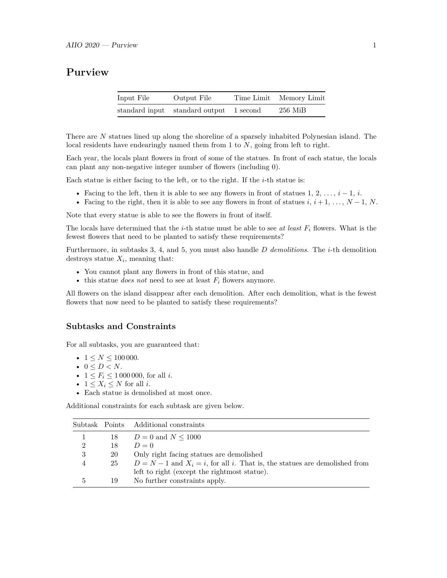## **Purview**

| Input File | Output File                             | Time Limit Memory Limit |
|------------|-----------------------------------------|-------------------------|
|            | standard input standard output 1 second | $256$ MiB               |

There are *N* statues lined up along the shoreline of a sparsely inhabited Polynesian island. The local residents have endearingly named them from 1 to *N*, going from left to right.

Each year, the locals plant flowers in front of some of the statues. In front of each statue, the locals can plant any non-negative integer number of flowers (including 0).

Each statue is either facing to the left, or to the right. If the *i*-th statue is:

- Facing to the left, then it is able to see any flowers in front of statues  $1, 2, \ldots, i-1, i$ .
- Facing to the right, then it is able to see any flowers in front of statues  $i, i + 1, \ldots, N 1, N$ .

Note that every statue is able to see the flowers in front of itself.

The locals have determined that the *i*-th statue must be able to see *at least*  $F_i$  flowers. What is the fewest flowers that need to be planted to satisfy these requirements?

Furthermore, in subtasks 3, 4, and 5, you must also handle *D demolitions*. The *i*-th demolition destroys statue  $X_i$ , meaning that:

- You cannot plant any flowers in front of this statue, and
- this statue *does not* need to see at least  $F_i$  flowers anymore.

All flowers on the island disappear after each demolition. After each demolition, what is the fewest flowers that now need to be planted to satisfy these requirements?

#### **Subtasks and Constraints**

For all subtasks, you are guaranteed that:

- $1 \le N \le 100000$ .
- $\bullet~~0\leq D< N.$
- $1 \leq F_i \leq 1000000$ , for all *i*.
- $1 \leq X_i \leq N$  for all *i*.
- Each statue is demolished at most once.

Additional constraints for each subtask are given below.

|                |    | Subtask Points Additional constraints                                           |
|----------------|----|---------------------------------------------------------------------------------|
|                | 18 | $D = 0$ and $N \le 1000$                                                        |
| $\overline{2}$ | 18 | $D=0$                                                                           |
| 3              | 20 | Only right facing statues are demolished                                        |
| 4              | 25 | $D = N - 1$ and $X_i = i$ , for all i. That is, the statues are demolished from |
|                |    | left to right (except the rightmost statue).                                    |
| 5              | 19 | No further constraints apply.                                                   |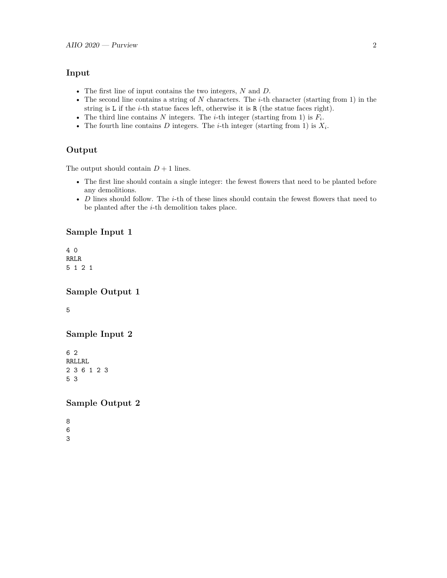#### **Input**

- The first line of input contains the two integers, *N* and *D*.
- The second line contains a string of *N* characters. The *i*-th character (starting from 1) in the string is L if the *i*-th statue faces left, otherwise it is R (the statue faces right).
- The third line contains  $N$  integers. The *i*-th integer (starting from 1) is  $F_i$ .
- The fourth line contains  $D$  integers. The *i*-th integer (starting from 1) is  $X_i$ .

### **Output**

The output should contain  $D + 1$  lines.

- The first line should contain a single integer: the fewest flowers that need to be planted before any demolitions.
- *D* lines should follow. The *i*-th of these lines should contain the fewest flowers that need to be planted after the *i*-th demolition takes place.

### **Sample Input 1**

4 0 RRLR 5 1 2 1

### **Sample Output 1**

5

### **Sample Input 2**

6 2 RRLLRL 2 3 6 1 2 3 5 3

### **Sample Output 2**

8 6 3